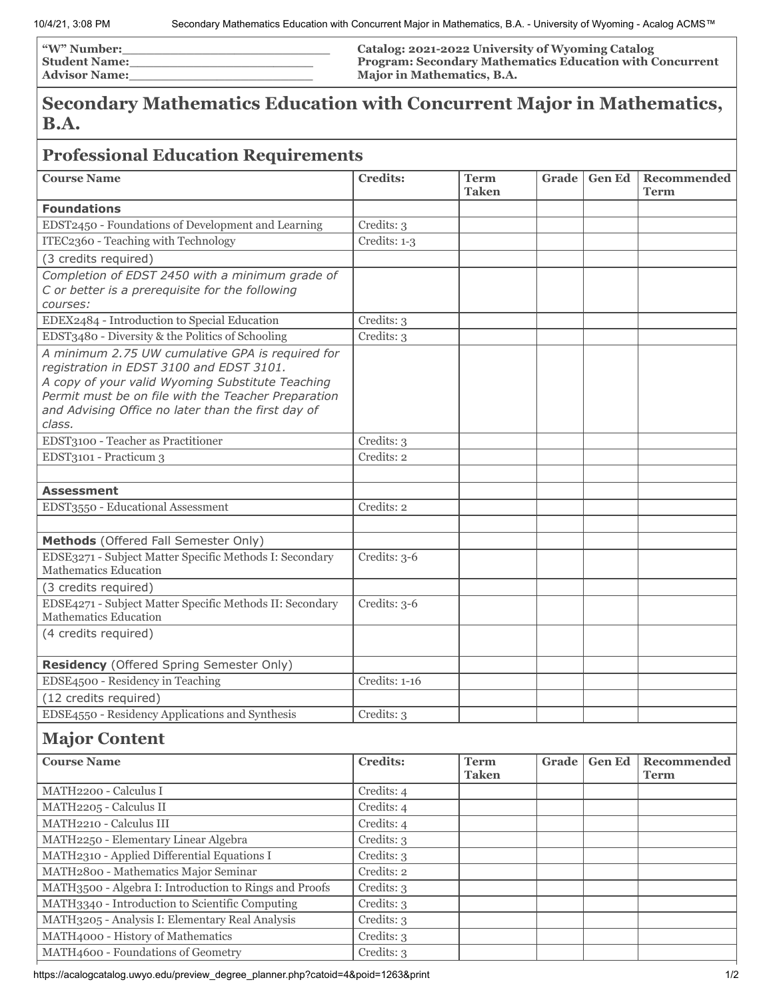| <b><i>"W"</i> Number:</b> | Catalog: 2021-2022 University of Wyoming Catalog                |
|---------------------------|-----------------------------------------------------------------|
| <b>Student Name:</b>      | <b>Program: Secondary Mathematics Education with Concurrent</b> |
| <b>Advisor Name:</b>      | Major in Mathematics, B.A.                                      |

## **Secondary Mathematics Education with Concurrent Major in Mathematics, B.A.**

## **Professional Education Requirements**

| <b>Course Name</b>                                                                                                                                                                                                                                                      | <b>Credits:</b> | <b>Term</b><br><b>Taken</b> | Grade | <b>Gen Ed</b> | Recommended<br>Term        |
|-------------------------------------------------------------------------------------------------------------------------------------------------------------------------------------------------------------------------------------------------------------------------|-----------------|-----------------------------|-------|---------------|----------------------------|
| <b>Foundations</b>                                                                                                                                                                                                                                                      |                 |                             |       |               |                            |
| EDST2450 - Foundations of Development and Learning                                                                                                                                                                                                                      | Credits: 3      |                             |       |               |                            |
| ITEC2360 - Teaching with Technology                                                                                                                                                                                                                                     | Credits: 1-3    |                             |       |               |                            |
| (3 credits required)                                                                                                                                                                                                                                                    |                 |                             |       |               |                            |
| Completion of EDST 2450 with a minimum grade of                                                                                                                                                                                                                         |                 |                             |       |               |                            |
| C or better is a prerequisite for the following                                                                                                                                                                                                                         |                 |                             |       |               |                            |
| courses:                                                                                                                                                                                                                                                                |                 |                             |       |               |                            |
| EDEX2484 - Introduction to Special Education                                                                                                                                                                                                                            | Credits: 3      |                             |       |               |                            |
| EDST3480 - Diversity & the Politics of Schooling                                                                                                                                                                                                                        | Credits: 3      |                             |       |               |                            |
| A minimum 2.75 UW cumulative GPA is required for<br>registration in EDST 3100 and EDST 3101.<br>A copy of your valid Wyoming Substitute Teaching<br>Permit must be on file with the Teacher Preparation<br>and Advising Office no later than the first day of<br>class. |                 |                             |       |               |                            |
| EDST3100 - Teacher as Practitioner                                                                                                                                                                                                                                      | Credits: 3      |                             |       |               |                            |
| EDST3101 - Practicum 3                                                                                                                                                                                                                                                  | Credits: 2      |                             |       |               |                            |
|                                                                                                                                                                                                                                                                         |                 |                             |       |               |                            |
| <b>Assessment</b>                                                                                                                                                                                                                                                       |                 |                             |       |               |                            |
| EDST3550 - Educational Assessment                                                                                                                                                                                                                                       | Credits: 2      |                             |       |               |                            |
|                                                                                                                                                                                                                                                                         |                 |                             |       |               |                            |
| Methods (Offered Fall Semester Only)                                                                                                                                                                                                                                    |                 |                             |       |               |                            |
| EDSE3271 - Subject Matter Specific Methods I: Secondary<br>Mathematics Education                                                                                                                                                                                        | Credits: 3-6    |                             |       |               |                            |
| (3 credits required)                                                                                                                                                                                                                                                    |                 |                             |       |               |                            |
| EDSE4271 - Subject Matter Specific Methods II: Secondary<br>Mathematics Education                                                                                                                                                                                       | Credits: 3-6    |                             |       |               |                            |
| (4 credits required)                                                                                                                                                                                                                                                    |                 |                             |       |               |                            |
| Residency (Offered Spring Semester Only)                                                                                                                                                                                                                                |                 |                             |       |               |                            |
| EDSE4500 - Residency in Teaching                                                                                                                                                                                                                                        | Credits: 1-16   |                             |       |               |                            |
| (12 credits required)                                                                                                                                                                                                                                                   |                 |                             |       |               |                            |
| EDSE4550 - Residency Applications and Synthesis                                                                                                                                                                                                                         | Credits: 3      |                             |       |               |                            |
| <b>Major Content</b>                                                                                                                                                                                                                                                    |                 |                             |       |               |                            |
| <b>Course Name</b>                                                                                                                                                                                                                                                      | <b>Credits:</b> | <b>Term</b><br><b>Taken</b> | Grade | <b>Gen Ed</b> | Recommended<br><b>Term</b> |
| MATH2200 - Calculus I                                                                                                                                                                                                                                                   | Credits: 4      |                             |       |               |                            |
| MATH2205 - Calculus II                                                                                                                                                                                                                                                  | Credits: 4      |                             |       |               |                            |
| MATH2210 - Calculus III                                                                                                                                                                                                                                                 | Credits: 4      |                             |       |               |                            |
| MATH2250 - Elementary Linear Algebra                                                                                                                                                                                                                                    | Credits: 3      |                             |       |               |                            |
| MATH2310 - Applied Differential Equations I                                                                                                                                                                                                                             | Credits: 3      |                             |       |               |                            |
| MATH2800 - Mathematics Major Seminar                                                                                                                                                                                                                                    | Credits: 2      |                             |       |               |                            |
| MATH3500 - Algebra I: Introduction to Rings and Proofs                                                                                                                                                                                                                  | Credits: 3      |                             |       |               |                            |
| MATH3340 - Introduction to Scientific Computing                                                                                                                                                                                                                         | Credits: 3      |                             |       |               |                            |
| MATH3205 - Analysis I: Elementary Real Analysis                                                                                                                                                                                                                         | Credits: 3      |                             |       |               |                            |
| MATH4000 - History of Mathematics                                                                                                                                                                                                                                       | Credits: 3      |                             |       |               |                            |
| MATH4600 - Foundations of Geometry                                                                                                                                                                                                                                      | Credits: 3      |                             |       |               |                            |

https://acalogcatalog.uwyo.edu/preview\_degree\_planner.php?catoid=4&poid=1263&print 1/2